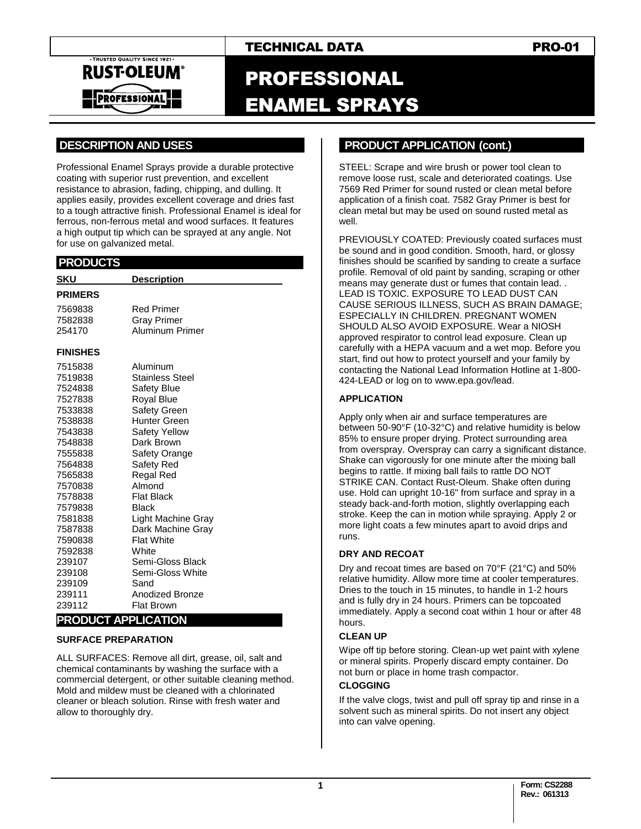

# PROFESSIONAL ENAMEL SPRAYS

# **.DESCRIPTION AND USES .**

Professional Enamel Sprays provide a durable protective coating with superior rust prevention, and excellent resistance to abrasion, fading, chipping, and dulling. It applies easily, provides excellent coverage and dries fast to a tough attractive finish. Professional Enamel is ideal for ferrous, non-ferrous metal and wood surfaces. It features a high output tip which can be sprayed at any angle. Not for use on galvanized metal.

## **.PRODUCTS .**

| SKU                    | <b>Description</b>                   |
|------------------------|--------------------------------------|
| <b>PRIMERS</b>         |                                      |
| 7569838                | <b>Red Primer</b>                    |
| 7582838                | Gray Primer                          |
| 254170                 | Aluminum Primer                      |
| <b>FINISHES</b>        |                                      |
| 7515838                | Aluminum                             |
| 7519838                | Stainless Steel                      |
| 7524838                | Safety Blue                          |
| 7527838                | <b>Royal Blue</b>                    |
| 7533838                | Safety Green                         |
| 7538838                | Hunter Green                         |
| 7543838                | Safety Yellow                        |
| 7548838                | Dark Brown                           |
| 7555838                | Safety Orange                        |
| 7564838                | Safety Red                           |
| 7565838                | Regal Red                            |
| 7570838                | Almond                               |
| 7578838                | <b>Flat Black</b>                    |
| 7579838                | Black                                |
| 7581838                | Light Machine Gray                   |
| 7587838                | Dark Machine Gray                    |
| 7590838                | <b>Flat White</b>                    |
| 7592838                | White                                |
| 239107                 | Semi-Gloss Black                     |
| 239108                 | Semi-Gloss White                     |
| 239109                 | Sand                                 |
| 239111                 | Anodized Bronze                      |
| 239112<br><b>DDADU</b> | <b>Flat Brown</b><br><b>DDUATION</b> |

#### **PRODUCT APPLICATION SURFACE PREPARATION**

ALL SURFACES: Remove all dirt, grease, oil, salt and chemical contaminants by washing the surface with a commercial detergent, or other suitable cleaning method. Mold and mildew must be cleaned with a chlorinated cleaner or bleach solution. Rinse with fresh water and allow to thoroughly dry.

# **..PRODUCT APPLICATION (cont.) .**

STEEL: Scrape and wire brush or power tool clean to remove loose rust, scale and deteriorated coatings. Use 7569 Red Primer for sound rusted or clean metal before application of a finish coat. 7582 Gray Primer is best for clean metal but may be used on sound rusted metal as well.

PREVIOUSLY COATED: Previously coated surfaces must be sound and in good condition. Smooth, hard, or glossy finishes should be scarified by sanding to create a surface profile. Removal of old paint by sanding, scraping or other means may generate dust or fumes that contain lead. . LEAD IS TOXIC. EXPOSURE TO LEAD DUST CAN CAUSE SERIOUS ILLNESS, SUCH AS BRAIN DAMAGE; ESPECIALLY IN CHILDREN. PREGNANT WOMEN SHOULD ALSO AVOID EXPOSURE. Wear a NIOSH approved respirator to control lead exposure. Clean up carefully with a HEPA vacuum and a wet mop. Before you start, find out how to protect yourself and your family by contacting the National Lead Information Hotline at 1-800- 424-LEAD or log on to www.epa.gov/lead.

#### **APPLICATION**

Apply only when air and surface temperatures are between 50-90°F (10-32°C) and relative humidity is below 85% to ensure proper drying. Protect surrounding area from overspray. Overspray can carry a significant distance. Shake can vigorously for one minute after the mixing ball begins to rattle. If mixing ball fails to rattle DO NOT STRIKE CAN. Contact Rust-Oleum. Shake often during use. Hold can upright 10-16" from surface and spray in a steady back-and-forth motion, slightly overlapping each stroke. Keep the can in motion while spraying. Apply 2 or more light coats a few minutes apart to avoid drips and runs.

#### **DRY AND RECOAT**

Dry and recoat times are based on 70°F (21°C) and 50% relative humidity. Allow more time at cooler temperatures. Dries to the touch in 15 minutes, to handle in 1-2 hours and is fully dry in 24 hours. Primers can be topcoated immediately. Apply a second coat within 1 hour or after 48 hours.

#### **CLEAN UP**

Wipe off tip before storing. Clean-up wet paint with xylene or mineral spirits. Properly discard empty container. Do not burn or place in home trash compactor.

#### **CLOGGING**

If the valve clogs, twist and pull off spray tip and rinse in a solvent such as mineral spirits. Do not insert any object into can valve opening.